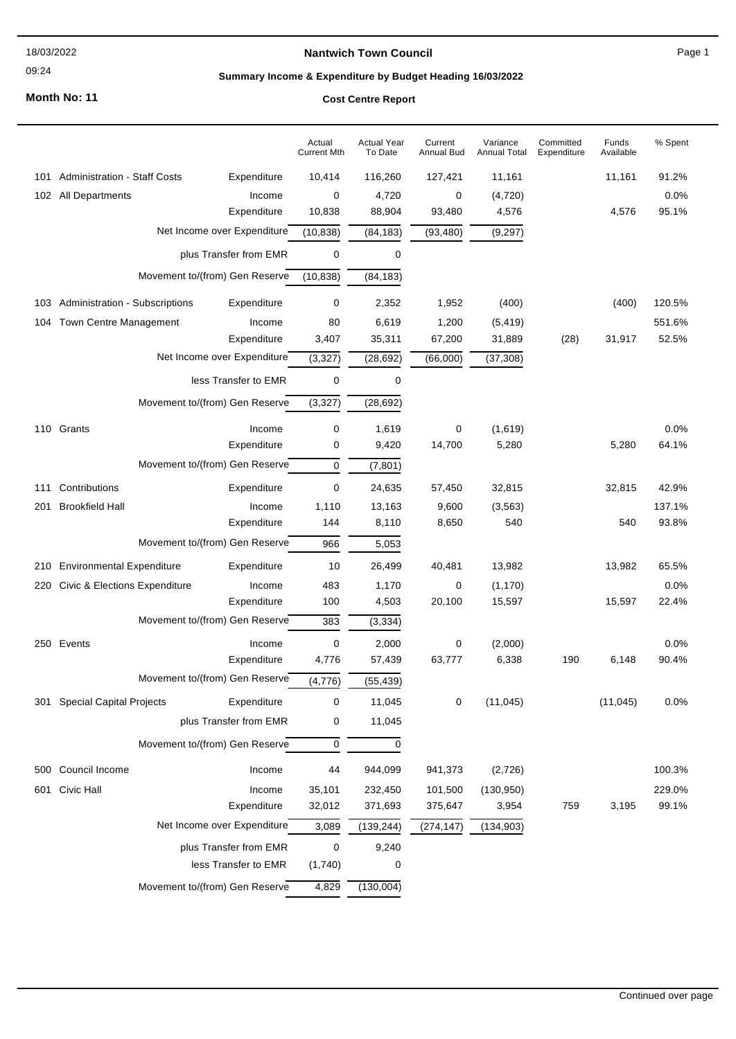#### 18/03/2022

#### 09:24

#### **Nantwich Town Council**

Page 1

# **Summary Income & Expenditure by Budget Heading 16/03/2022**

**Month No: 11**

### **Cost Centre Report**

|     |                                                                                         |                                | Actual<br><b>Current Mth</b> | <b>Actual Year</b><br>To Date | Current<br>Annual Bud | Variance<br><b>Annual Total</b> | Committed<br>Expenditure | Funds<br>Available | % Spent |
|-----|-----------------------------------------------------------------------------------------|--------------------------------|------------------------------|-------------------------------|-----------------------|---------------------------------|--------------------------|--------------------|---------|
| 101 | <b>Administration - Staff Costs</b>                                                     | Expenditure                    | 10,414                       | 116,260                       | 127,421               | 11,161                          |                          | 11,161             | 91.2%   |
|     | 102 All Departments                                                                     | Income                         | 0                            | 4,720                         | 0                     | (4,720)                         |                          |                    | 0.0%    |
|     |                                                                                         | Expenditure                    | 10,838                       | 88,904                        | 93,480                | 4,576                           |                          | 4,576              | 95.1%   |
|     | Net Income over Expenditure<br>plus Transfer from EMR<br>Movement to/(from) Gen Reserve |                                | (10, 838)                    | (84, 183)                     | (93, 480)             | (9, 297)                        |                          |                    |         |
|     |                                                                                         |                                | 0                            | 0                             |                       |                                 |                          |                    |         |
|     |                                                                                         |                                | (10, 838)                    | (84, 183)                     |                       |                                 |                          |                    |         |
| 103 | <b>Administration - Subscriptions</b>                                                   | Expenditure                    | 0                            | 2,352                         | 1,952                 | (400)                           |                          | (400)              | 120.5%  |
| 104 | Town Centre Management                                                                  | Income                         | 80                           | 6,619                         | 1,200                 | (5, 419)                        |                          |                    | 551.6%  |
|     |                                                                                         | Expenditure                    | 3,407                        | 35,311                        | 67,200                | 31,889                          | (28)                     | 31,917             | 52.5%   |
|     | Net Income over Expenditure<br>less Transfer to EMR                                     |                                | (3, 327)                     | (28, 692)                     | (66,000)              | (37, 308)                       |                          |                    |         |
|     |                                                                                         |                                | 0                            | 0                             |                       |                                 |                          |                    |         |
|     |                                                                                         | Movement to/(from) Gen Reserve | (3, 327)                     | (28, 692)                     |                       |                                 |                          |                    |         |
|     | 110 Grants                                                                              | Income                         | 0                            | 1,619                         | 0                     | (1,619)                         |                          |                    | 0.0%    |
|     |                                                                                         | Expenditure                    | 0                            | 9,420                         | 14,700                | 5,280                           |                          | 5,280              | 64.1%   |
|     |                                                                                         | Movement to/(from) Gen Reserve | 0                            | (7, 801)                      |                       |                                 |                          |                    |         |
| 111 | Contributions                                                                           | Expenditure                    | 0                            | 24,635                        | 57,450                | 32,815                          |                          | 32,815             | 42.9%   |
| 201 | <b>Brookfield Hall</b>                                                                  | Income                         | 1,110                        | 13,163                        | 9,600                 | (3, 563)                        |                          |                    | 137.1%  |
|     |                                                                                         | Expenditure                    | 144                          | 8,110                         | 8,650                 | 540                             |                          | 540                | 93.8%   |
|     |                                                                                         | Movement to/(from) Gen Reserve | 966                          | 5,053                         |                       |                                 |                          |                    |         |
| 210 | <b>Environmental Expenditure</b>                                                        | Expenditure                    | 10                           | 26,499                        | 40,481                | 13,982                          |                          | 13,982             | 65.5%   |
| 220 | Civic & Elections Expenditure                                                           | Income                         | 483                          | 1,170                         | 0                     | (1, 170)                        |                          |                    | 0.0%    |
|     |                                                                                         | Expenditure                    | 100                          | 4,503                         | 20,100                | 15,597                          |                          | 15,597             | 22.4%   |
|     | Movement to/(from) Gen Reserve                                                          |                                | 383                          | (3, 334)                      |                       |                                 |                          |                    |         |
|     | 250 Events                                                                              | Income                         | 0                            | 2,000                         | 0                     | (2,000)                         |                          |                    | 0.0%    |
|     |                                                                                         | Expenditure                    | 4,776                        | 57,439                        | 63,777                | 6,338                           | 190                      | 6,148              | 90.4%   |
|     |                                                                                         | Movement to/(from) Gen Reserve | (4,776)                      | (55, 439)                     |                       |                                 |                          |                    |         |
|     | 301 Special Capital Projects                                                            | Expenditure                    | 0                            | 11,045                        | 0                     | (11, 045)                       |                          | (11, 045)          | 0.0%    |
|     |                                                                                         | plus Transfer from EMR         | 0                            | 11,045                        |                       |                                 |                          |                    |         |
|     | Movement to/(from) Gen Reserve                                                          |                                | 0                            | 0                             |                       |                                 |                          |                    |         |
| 500 | Council Income                                                                          | Income                         | 44                           | 944,099                       | 941,373               | (2,726)                         |                          |                    | 100.3%  |
| 601 | Civic Hall                                                                              | Income                         | 35,101                       | 232,450                       | 101,500               | (130, 950)                      |                          |                    | 229.0%  |
|     | Expenditure<br>Net Income over Expenditure                                              |                                | 32,012                       | 371,693                       | 375,647               | 3,954                           | 759                      | 3,195              | 99.1%   |
|     |                                                                                         |                                | 3,089                        | (139, 244)                    | (274, 147)            | (134, 903)                      |                          |                    |         |
|     | plus Transfer from EMR                                                                  |                                | 0                            | 9,240                         |                       |                                 |                          |                    |         |
|     |                                                                                         | less Transfer to EMR           | (1,740)                      | 0                             |                       |                                 |                          |                    |         |
|     |                                                                                         | Movement to/(from) Gen Reserve | 4,829                        | (130,004)                     |                       |                                 |                          |                    |         |